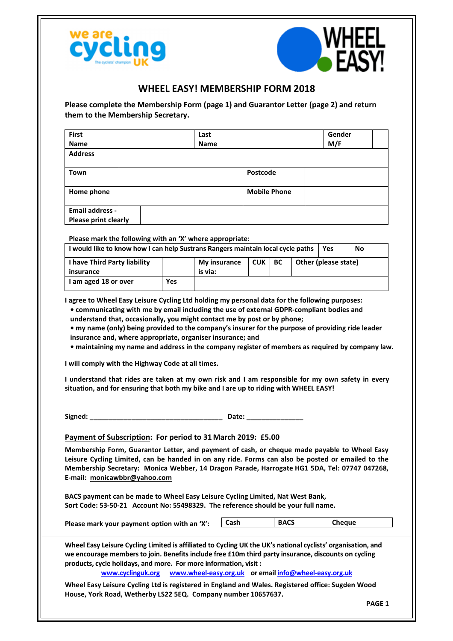



## WHEEL EASY! MEMBERSHIP FORM 2018

Please complete the Membership Form (page 1) and Guarantor Letter (page 2) and return them to the Membership Secretary.

| First                                                                                                                                                                                                                                                                                                                             |  |                   |  | Last         |       |                     |             |  |                                                       | Gender |  |
|-----------------------------------------------------------------------------------------------------------------------------------------------------------------------------------------------------------------------------------------------------------------------------------------------------------------------------------|--|-------------------|--|--------------|-------|---------------------|-------------|--|-------------------------------------------------------|--------|--|
| <b>Name</b>                                                                                                                                                                                                                                                                                                                       |  |                   |  | Name         |       |                     |             |  | M/F                                                   |        |  |
| <b>Address</b>                                                                                                                                                                                                                                                                                                                    |  |                   |  |              |       |                     |             |  |                                                       |        |  |
|                                                                                                                                                                                                                                                                                                                                   |  |                   |  |              |       |                     |             |  |                                                       |        |  |
| Town                                                                                                                                                                                                                                                                                                                              |  |                   |  |              |       | Postcode            |             |  |                                                       |        |  |
| Home phone                                                                                                                                                                                                                                                                                                                        |  |                   |  |              |       | <b>Mobile Phone</b> |             |  |                                                       |        |  |
|                                                                                                                                                                                                                                                                                                                                   |  |                   |  |              |       |                     |             |  |                                                       |        |  |
| <b>Email address -</b><br><b>Please print clearly</b>                                                                                                                                                                                                                                                                             |  |                   |  |              |       |                     |             |  |                                                       |        |  |
|                                                                                                                                                                                                                                                                                                                                   |  |                   |  |              |       |                     |             |  |                                                       |        |  |
| Please mark the following with an 'X' where appropriate:                                                                                                                                                                                                                                                                          |  |                   |  |              |       |                     |             |  |                                                       |        |  |
| I would like to know how I can help Sustrans Rangers maintain local cycle paths                                                                                                                                                                                                                                                   |  |                   |  |              |       |                     |             |  | <b>Yes</b>                                            | No     |  |
| I have Third Party liability                                                                                                                                                                                                                                                                                                      |  |                   |  | My insurance |       | <b>CUK</b>          | BС          |  | Other (please state)                                  |        |  |
| insurance                                                                                                                                                                                                                                                                                                                         |  |                   |  | is via:      |       |                     |             |  |                                                       |        |  |
| I am aged 18 or over                                                                                                                                                                                                                                                                                                              |  | Yes               |  |              |       |                     |             |  |                                                       |        |  |
| I will comply with the Highway Code at all times.<br>I understand that rides are taken at my own risk and I am responsible for my own safety in every<br>situation, and for ensuring that both my bike and I are up to riding with WHEEL EASY!                                                                                    |  |                   |  |              |       |                     |             |  |                                                       |        |  |
| Signed: _                                                                                                                                                                                                                                                                                                                         |  |                   |  |              | Date: |                     |             |  |                                                       |        |  |
| Payment of Subscription: For period to 31 March 2019: £5.00                                                                                                                                                                                                                                                                       |  |                   |  |              |       |                     |             |  |                                                       |        |  |
| Membership Form, Guarantor Letter, and payment of cash, or cheque made payable to Wheel Easy<br>Leisure Cycling Limited, can be handed in on any ride. Forms can also be posted or emailed to the<br>Membership Secretary: Monica Webber, 14 Dragon Parade, Harrogate HG1 5DA, Tel: 07747 047268,<br>E-mail: monicawbbr@yahoo.com |  |                   |  |              |       |                     |             |  |                                                       |        |  |
| BACS payment can be made to Wheel Easy Leisure Cycling Limited, Nat West Bank,<br>Sort Code: 53-50-21 Account No: 55498329. The reference should be your full name.                                                                                                                                                               |  |                   |  |              |       |                     |             |  |                                                       |        |  |
| Please mark your payment option with an 'X':                                                                                                                                                                                                                                                                                      |  |                   |  |              | Cash  |                     | <b>BACS</b> |  |                                                       | Cheque |  |
| Wheel Easy Leisure Cycling Limited is affiliated to Cycling UK the UK's national cyclists' organisation, and<br>we encourage members to join. Benefits include free £10m third party insurance, discounts on cycling<br>products, cycle holidays, and more. For more information, visit :                                         |  | www.cyclinguk.org |  |              |       |                     |             |  | www.wheel-easy.org.uk or email info@wheel-easy.org.uk |        |  |
| Wheel Easy Leisure Cycling Ltd is registered in England and Wales. Registered office: Sugden Wood<br>House, York Road, Wetherby LS22 5EQ. Company number 10657637.                                                                                                                                                                |  |                   |  |              |       |                     |             |  |                                                       |        |  |

PAGE 1